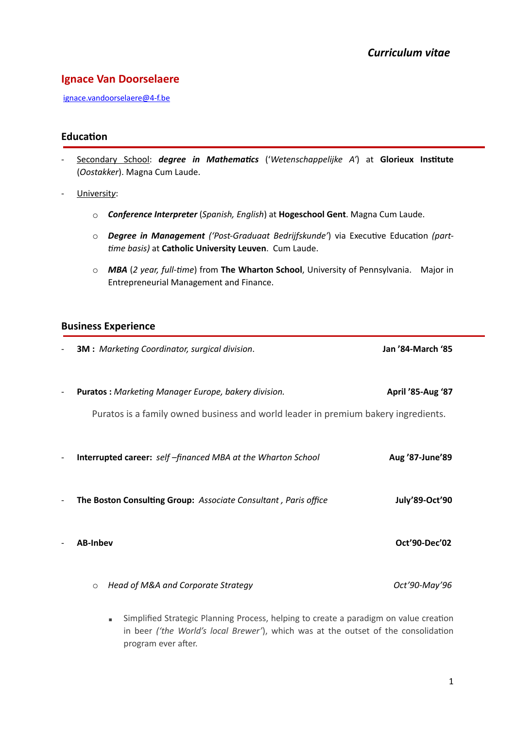# **Ignace Van Doorselaere**

[ignace.vandoorselaere@4-f.be](mailto:ignace.vandoorselaere@4-f.be)

# **Education**

- Secondary School: *degree in Mathematics* ('Wetenschappelijke A') at Glorieux Institute (*Oostakker*). Magna Cum Laude.
- Universit*y*:
	- o *Conference Interpreter* (*Spanish, English*) at **Hogeschool Gent**. Magna Cum Laude.
	- o **Degree in Management** ('Post-Graduaat Bedrijfskunde') via Executive Education (part-*Bme basis)* at **Catholic University Leuven**. Cum Laude.
	- o *MBA* (*2 year, full-Bme*) from **The Wharton School**, University of Pennsylvania. Major in Entrepreneurial Management and Finance.

## **Business Experience**

|                          | <b>3M</b> : Marketing Coordinator, surgical division.                                                                                                                                                   | Jan '84-March '85 |
|--------------------------|---------------------------------------------------------------------------------------------------------------------------------------------------------------------------------------------------------|-------------------|
|                          | Puratos: Marketing Manager Europe, bakery division.<br>Puratos is a family owned business and world leader in premium bakery ingredients.                                                               | April '85-Aug '87 |
|                          | <b>Interrupted career:</b> self-financed MBA at the Wharton School                                                                                                                                      | Aug '87-June'89   |
| $\overline{\phantom{a}}$ | The Boston Consulting Group: Associate Consultant, Paris office                                                                                                                                         | July'89-Oct'90    |
|                          | <b>AB-Inbev</b>                                                                                                                                                                                         | Oct'90-Dec'02     |
|                          | Head of M&A and Corporate Strategy<br>$\circ$                                                                                                                                                           | Oct'90-May'96     |
|                          | Simplified Strategic Planning Process, helping to create a paradigm on value creation<br>٠<br>in beer ('the World's local Brewer'), which was at the outset of the consolidation<br>program ever after. |                   |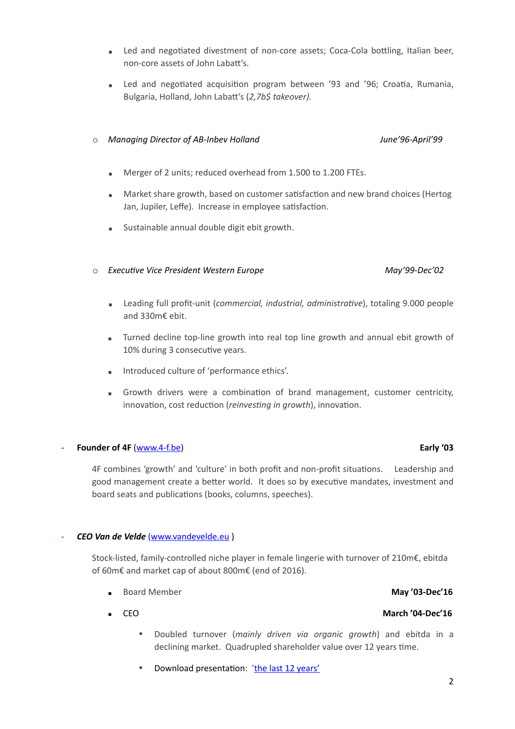- Led and negotiated divestment of non-core assets; Coca-Cola bottling, Italian beer, non-core assets of John Labatt's.
- **Example 2** Led and negotiated acquisition program between '93 and '96; Croatia, Rumania, Bulgaria, Holland, John Labatt's (2,7b\$ takeover).

### o *Managing Director of AB-Inbev Holland June'96-April'99*

- Merger of 2 units; reduced overhead from 1.500 to 1.200 FTEs.
- **EXECT** Market share growth, based on customer satisfaction and new brand choices (Hertog Jan, Jupiler, Leffe). Increase in employee satisfaction.
- **EXEC** Sustainable annual double digit ebit growth.

### o *ExecuBve Vice President Western Europe May'99-Dec'02*

- **EXECT** Leading full profit-unit (*commercial, industrial, administrative*), totaling 9.000 people and 330m€ ebit.
- **EXECT** Turned decline top-line growth into real top line growth and annual ebit growth of 10% during 3 consecutive years.
- **Introduced culture of 'performance ethics'.**
- **EXECUTE:** Growth drivers were a combination of brand management, customer centricity, innovation, cost reduction (*reinvesting in growth*), innovation.

## - **Founder of 4F** ([www.4-f.be\)](http://www.4-f.be) **Early '03**

4F combines 'growth' and 'culture' in both profit and non-profit situations. Leadership and good management create a better world. It does so by executive mandates, investment and board seats and publications (books, columns, speeches).

## - *CEO Van de Velde* [\(www.vandevelde.eu](http://www.vandevelde.eu) )

Stock-listed, family-controlled niche player in female lingerie with turnover of 210m€, ebitda of 60m€ and market cap of about 800m€ (end of 2016).

- Board Member **May '03-Dec'16**
- - Doubled turnover (*mainly driven via organic growth*) and ebitda in a declining market. Quadrupled shareholder value over 12 years time.
	- Download presentation: '[the last 12 years](http://www.4-f.be/fileadmin/MEDIA/12-years-at-VDV.pptx)'

## 2

# ▪ CEO **March '04-Dec'16**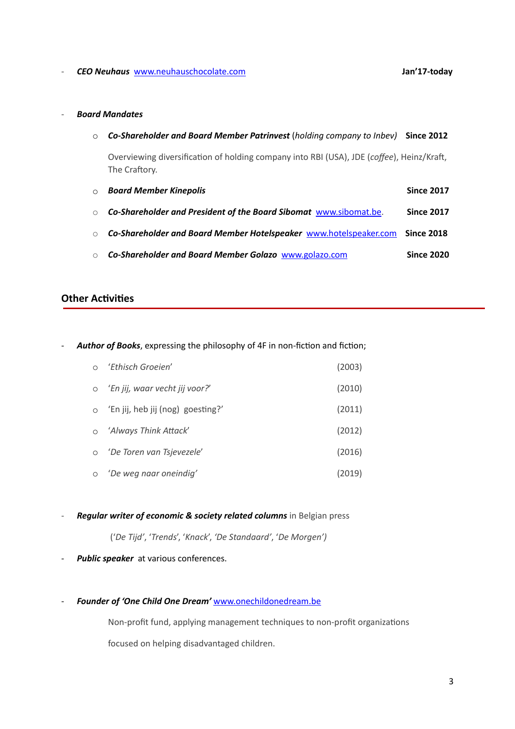### - *CEO Neuhaus* [www.neuhauschocolate.com](http://www.neuhauschocolate.com) **Jan'17-today**

### - *Board Mandates*

|         | $\circ$ Co-Shareholder and Board Member Patrinvest (holding company to Inbev) Since 2012                   |                   |
|---------|------------------------------------------------------------------------------------------------------------|-------------------|
|         | Overviewing diversification of holding company into RBI (USA), JDE (coffee), Heinz/Kraft,<br>The Craftory. |                   |
| $\circ$ | <b>Board Member Kinepolis</b>                                                                              | <b>Since 2017</b> |
| $\circ$ | Co-Shareholder and President of the Board Sibomat www.sibomat.be.                                          | <b>Since 2017</b> |
|         | $\circ$ Co-Shareholder and Board Member Hotelspeaker www.hotelspeaker.com Since 2018                       |                   |
|         | ○ Co-Shareholder and Board Member Golazo www.golazo.com                                                    | <b>Since 2020</b> |

## **Other Activities**

- **Author of Books**, expressing the philosophy of 4F in non-fiction and fiction;

| ○ 'Ethisch Groeien'                 | (2003) |
|-------------------------------------|--------|
| o 'En jij, waar vecht jij voor?'    | (2010) |
| o 'En jij, heb jij (nog) goesting?' | (2011) |
| o 'Always Think Attack'             | (2012) |
| O 'De Toren van Tsjevezele'         | (2016) |
| o 'De weg naar oneindig'            | (2019) |

### - *Regular writer of economic & society related columns* in Belgian press

('*De Tijd'*, '*Trends*', '*Knack*', *'De Standaard'*, '*De Morgen')* 

- Public speaker at various conferences.
- *Founder of 'One Child One Dream'* [www.onechildonedream.be](http://www.onechildonedream.be)

Non-profit fund, applying management techniques to non-profit organizations focused on helping disadvantaged children.